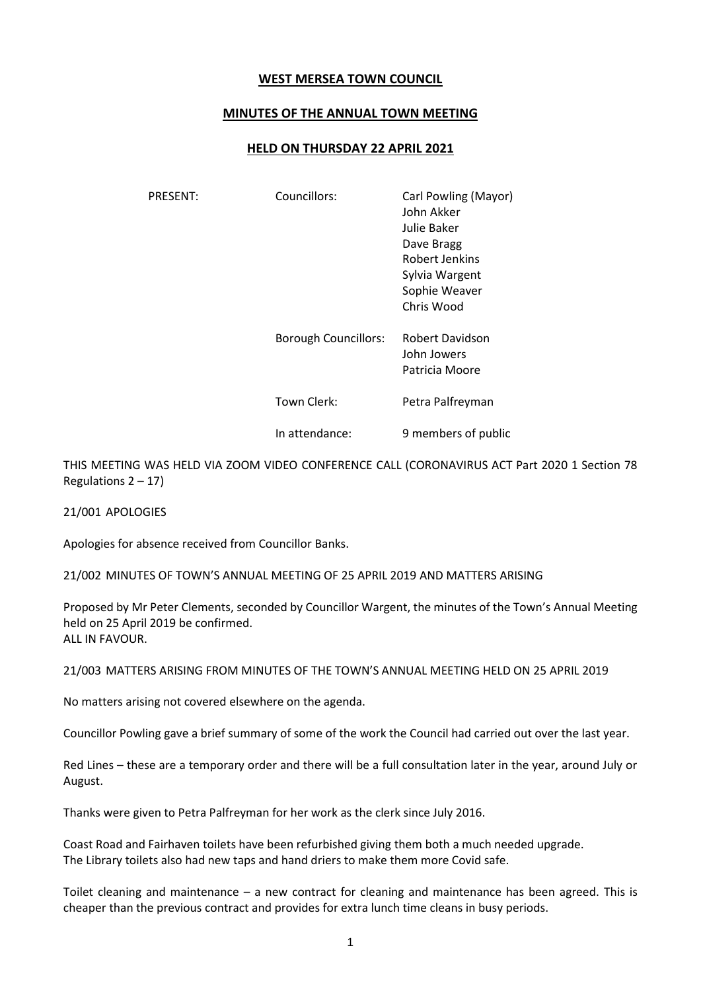## **WEST MERSEA TOWN COUNCIL**

## **MINUTES OF THE ANNUAL TOWN MEETING**

## **HELD ON THURSDAY 22 APRIL 2021**

| PRESENT: | Councillors:                | Carl Powling (Mayor)<br>John Akker<br>Julie Baker<br>Dave Bragg<br>Robert Jenkins<br>Sylvia Wargent<br>Sophie Weaver<br>Chris Wood |
|----------|-----------------------------|------------------------------------------------------------------------------------------------------------------------------------|
|          | <b>Borough Councillors:</b> | Robert Davidson<br>John Jowers<br>Patricia Moore                                                                                   |
|          | Town Clerk:                 | Petra Palfreyman                                                                                                                   |
|          | In attendance:              | 9 members of public                                                                                                                |

THIS MEETING WAS HELD VIA ZOOM VIDEO CONFERENCE CALL (CORONAVIRUS ACT Part 2020 1 Section 78 Regulations  $2 - 17$ )

21/001 APOLOGIES

Apologies for absence received from Councillor Banks.

21/002 MINUTES OF TOWN'S ANNUAL MEETING OF 25 APRIL 2019 AND MATTERS ARISING

Proposed by Mr Peter Clements, seconded by Councillor Wargent, the minutes of the Town's Annual Meeting held on 25 April 2019 be confirmed. ALL IN FAVOUR.

21/003 MATTERS ARISING FROM MINUTES OF THE TOWN'S ANNUAL MEETING HELD ON 25 APRIL 2019

No matters arising not covered elsewhere on the agenda.

Councillor Powling gave a brief summary of some of the work the Council had carried out over the last year.

Red Lines – these are a temporary order and there will be a full consultation later in the year, around July or August.

Thanks were given to Petra Palfreyman for her work as the clerk since July 2016.

Coast Road and Fairhaven toilets have been refurbished giving them both a much needed upgrade. The Library toilets also had new taps and hand driers to make them more Covid safe.

Toilet cleaning and maintenance – a new contract for cleaning and maintenance has been agreed. This is cheaper than the previous contract and provides for extra lunch time cleans in busy periods.